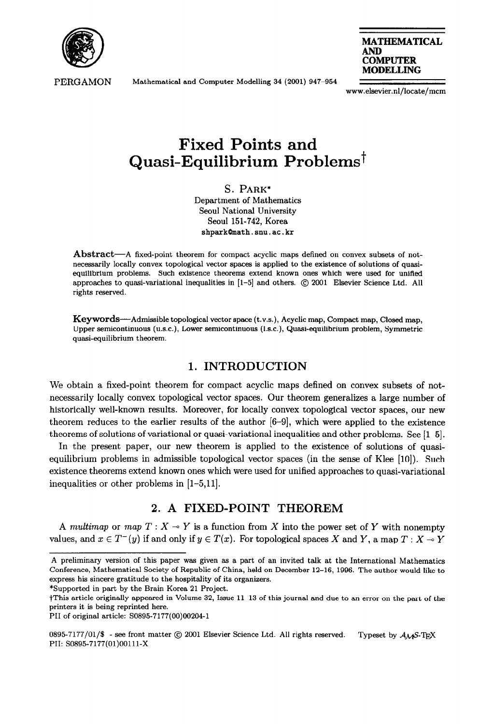

PERGAMON

Mathematical and Computer Modelling 34 (2001) 947-954



www.elsevier.nl/locate/mcm

# **Fixed Points and Quasi-Equilibrium Problems**<sup>†</sup>

**S. PARK\* Department of Mathematics Seoul National University Seoul 151-742, Korea shpark@math.snu.ac.kr** 

**Abstract-A fixed-point theorem for compact acyclic maps** defined on convex subsets of notnecessarily locally convex topological vector spsces is applied to the existence of solutions of qussiequilibrium problems. Such existence theorems extend known ones which were used for unified approaches to quasi-variational inequalities in [l-5] and others. @ 2001 Elsevier Science Ltd. All rights reserved.

**Keywords-Admissible topological vector space (t.v.s.), Acyclic map, Compact map,** Closed map, Upper semicontinuous (u.s.c.), Lower semicontinuous (l.s.c.), Quasi-equilibrium problem, Symmetric quasi-equilibrium theorem.

# **1. INTRODUCTION**

We obtain a fixed-point theorem for compact acyclic maps defined on convex subsets of notnecessarily locally convex topological vector spaces. Our theorem generalizes a large number of historically well-known results. Moreover, for locally convex topological vector spaces, our new theorem reduces to the earlier results of the author [6-g], which were applied to the existence theorems of solutions of variational or quasi-variational inequalities and other problems. See [l-5].

In the present paper, our new theorem is applied to the existence of solutions of quasiequilibrium problems in admissible topological vector spaces (in the sense of Klee [lo]). Such existence theorems extend known ones which were used for unified approaches to quasi-variational inequalities or other problems in [l-5,11].

# **2. A FIXED-POINT THEOREM**

A *multimap* or map  $T : X \to Y$  is a function from X into the power set of Y with nonempty values, and  $x \in T^-(y)$  if and only if  $y \in T(x)$ . For topological spaces X and Y, a map  $T : X \to Y$ 

\*Supported in part by the Brain Korea 21 Project.

A preliminary version of this paper was given as a part of an invited talk at the International Mathematics Conference, Mathematical Society of Republic of China, held on December 12-16, 1996. The author would like to express his sincere gratitude to the hospitality of its organizers.

tThis article originally appeared in Volume 32, Issue 11-13 of this journal and due to an error on the part of the printers it is being reprinted here.

PI1 of original article: SO895-7177(00)002041

<sup>0895-7177/01/\$ -</sup> see front matter  $\odot$  2001 Elsevier Science Ltd. All rights reserved. Typeset by  $A_{\mathcal{M}}$ S-TpX PII: SO895-7177(01)00111-X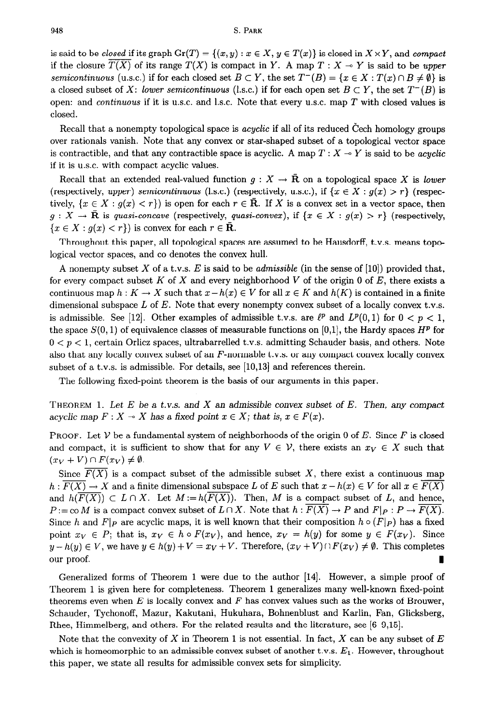#### 948 **S. PARK**

is said to be *closed* if its graph  $\text{Gr}(T) = \{(x, y) : x \in X, y \in T(x)\}$  is closed in  $X \times Y$ , and *compact* if the closure  $T(X)$  of its range  $T(X)$  is compact in Y. A map  $T : X \to Y$  is said to be upper semicontinuous (u.s.c.) if for each closed set  $B \subset Y$ , the set  $T^-(B) = \{x \in X : T(x) \cap B \neq \emptyset\}$  is a closed subset of X: lower semicontinuous (l.s.c.) if for each open set  $B \subset Y$ , the set  $T^{-}(B)$  is open: and *continuous* if it is U.S.C. and 1.s.c. Note that every U.S.C. map *T* with closed values is closed.

Recall that a nonempty topological space is *acyclic* if all of its reduced Cech homology groups over rationals vanish. Note that any convex or star-shaped subset of a topological vector space is contractible, and that any contractible space is acyclic. A map  $T : X \rightarrow Y$  is said to be *acyclic* if it is U.S.C. with compact acyclic values.

Recall that an extended real-valued function  $g: X \to \overline{R}$  on a topological space X is lower (respectively, upper) semicontinuous (1.s.c.) (respectively, u.s.c.), if  $\{x \in X : g(x) > r\}$  (respectively,  $\{x \in X : g(x) < r\}$  is open for each  $r \in \mathbb{R}$ . If X is a convex set in a vector space, then  $g: X \to \mathbf{R}$  is *quasi-concave* (respectively, *quasi-convex*), if  $\{x \in X : g(x) > r\}$  (respectively,  ${x \in X : g(x) < r}$  is convex for each  $r \in \mathbf{R}$ .

Throughout this paper, all topological spaces are assumed to be Hausdorff, t.v.s. means topological vector spaces, and co denotes the convex hull.

A nonempty subset X of a t.v.s. *E* is said to be *admissible* (in the sense of [lo]) provided that, for every compact subset *K* of X and every neighborhood *V* of the origin 0 of *E,* there exists a continuous map  $h: K \to X$  such that  $x - h(x) \in V$  for all  $x \in K$  and  $h(K)$  is contained in a finite dimensional subspace L of E. Note that every nonempty convex subset of a locally convex t.v.s. is admissible. See [12]. Other examples of admissible t.v.s. are  $\ell^p$  and  $L^p(0,1)$  for  $0 < p < 1$ , the space  $S(0,1)$  of equivalence classes of measurable functions on [0,1], the Hardy spaces  $H^p$  for  $0 < p < 1$ , certain Orlicz spaces, ultrabarrelled t.v.s. admitting Schauder basis, and others. Note also that any locally convex subset of an  $F$ -normable t.v.s. or any compact convex locally convex subset of a t.v.s. is admissible. For details, see [10,13] and references therein.

The following fixed-point theorem is the basis of our arguments in this paper.

**THEOREM 1.** *Let E be a t.v.s. and X* an admissible *convex subset of E. Then, any compact*  acyclic map  $F: X \to X$  has a fixed point  $x \in X$ ; that is,  $x \in F(x)$ .

**PROOF.** Let  $V$  be a fundamental system of neighborhoods of the origin 0 of *E*. Since *F* is closed and compact, it is sufficient to show that for any  $V \in \mathcal{V}$ , there exists an  $x_V \in X$  such that  $(x_V + V) \cap F(x_V) \neq \emptyset.$ 

Since  $F(X)$  is a compact subset of the admissible subset X, there exist a continuous map  $h: \overline{F(X)} \to X$  and a finite dimensional subspace *L* of *E* such that  $x - h(x) \in V$  for all  $x \in \overline{F(X)}$ and  $h(\overline{F(X)}) \subset L \cap X$ . Let  $M := h(F(X))$ . Then, M is a compact subset of L, and hence,  $P:=\text{co }M$  is a compact convex subset of  $L \cap X$ . Note that  $h : F(X) \to P$  and  $F|_{P} : P \to \overline{F(X)}$ . Since *h* and *F*|*p* are acyclic maps, it is well known that their composition  $h \circ (F|_P)$  has a fixed point  $x_V \in P$ ; that is,  $x_V \in h \circ F(x_V)$ , and hence,  $x_V = h(y)$  for some  $y \in F(x_V)$ . Since  $y - h(y) \in V$ , we have  $y \in h(y) + V = x_V + V$ . Therefore,  $(x_V + V) \cap F(x_V) \neq \emptyset$ . This completes our proof.

Generalized forms of Theorem 1 were due to the author [14]. However, a simple proof of Theorem 1 is given here for completeness. Theorem 1 generalizes many well-known fixed-point theorems even when *E* is locally convex and *F* **has** *convex* values such as the works of Brouwer, Schauder, Tychonoff, Mazur, Kakutani, Hukuhara, Bohnenblust and Karlin, Fan, Glicksberg, Rhee, Himmelberg, and others. For the related results and the literature, see  $[6-9,15]$ .

Note that the convexity of  $X$  in Theorem 1 is not essential. In fact,  $X$  can be any subset of  $E$ which is homeomorphic to an admissible convex subset of another t.v.s.  $E_1$ . However, throughout this paper, we state all results for admissible convex sets for simplicity.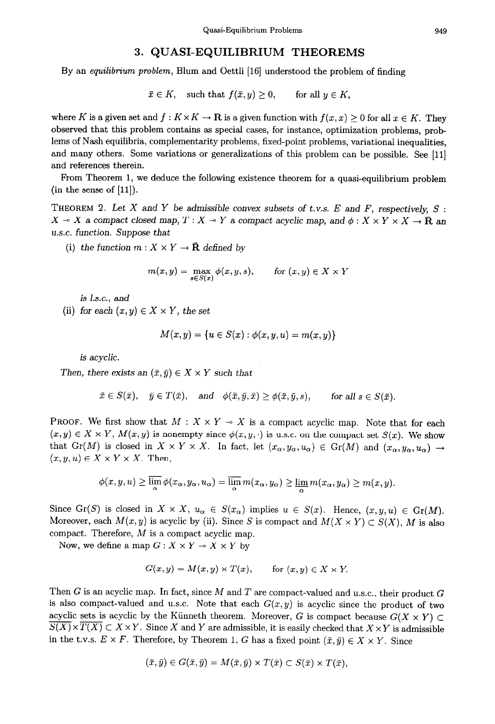## **3. QUASI-EQUILIBRIUM THEOREMS**

By an *equilibrium problem,* Blum and Oettli [16] understood the problem of finding

$$
\bar{x} \in K, \quad \text{such that } f(\bar{x}, y) \ge 0, \qquad \text{for all } y \in K,
$$

where *K* is a given set and  $f: K \times K \to \mathbf{R}$  is a given function with  $f(x, x) \ge 0$  for all  $x \in K$ . They observed that this problem contains as special cases, for instance, optimization problems, problems of Nash equilibria, complementarity problems, fixed-point problems, variational inequalities, and many others. Some variations or generalizations of this problem can be possible. See [ll] and references therein.

From Theorem 1, we deduce the following existence theorem for a quasi-equilibrium problem  $(in the sense of [11]).$ 

THEOREM 2. *Let X and Y be admissible convex subsets of t.v.s. E and F, respectively S :*   $X \sim X$  a compact closed map,  $T : X \sim Y$  a compact acyclic map, and  $\phi : X \times Y \times X \to \mathbf{R}$  and *U.S.C. function. Suppose that* 

(i) the function  $m: X \times Y \to \bar{R}$  defined by

 $\boldsymbol{\eta}$ 

$$
n(x, y) = \max_{s \in S(x)} \phi(x, y, s), \quad \text{for } (x, y) \in X \times Y
$$

**is** Ls.c., *and* 

(ii) for each  $(x, y) \in X \times Y$ , the set

$$
M(x,y)=\{u\in S(x):\phi(x,y,u)=m(x,y)\}
$$

is acyclic.

*Then, there exists an*  $(\bar{x}, \bar{y}) \in X \times Y$  such that

$$
\bar{x} \in S(\bar{x}), \quad \bar{y} \in T(\bar{x}), \quad \text{and} \quad \phi(\bar{x}, \bar{y}, \bar{x}) \ge \phi(\bar{x}, \bar{y}, s), \qquad \text{for all } s \in S(\bar{x}).
$$

**PROOF.** We first show that  $M: X \times Y \to X$  is a compact acyclic map. Note that for each  $(x, y) \in X \times Y$ ,  $M(x, y)$  is nonempty since  $\phi(x, y, \cdot)$  is u.s.c. on the compact set  $S(x)$ . We show that Gr(M) is closed in  $X \times Y \times X$ . In fact, let  $(x_{\alpha}, y_{\alpha}, u_{\alpha}) \in Gr(M)$  and  $(x_{\alpha}, y_{\alpha}, u_{\alpha}) \rightarrow$  $(x, y, u) \in X \times Y \times X$ . Then,

$$
\phi(x,y,u) \geq \overline{\lim_{\alpha}} \phi(x_{\alpha},y_{\alpha},u_{\alpha}) = \overline{\lim_{\alpha}} m(x_{\alpha},y_{\alpha}) \geq \underline{\lim_{\alpha}} m(x_{\alpha},y_{\alpha}) \geq m(x,y).
$$

Since Gr(S) is closed in  $X \times X$ ,  $u_{\alpha} \in S(x_{\alpha})$  implies  $u \in S(x)$ . Hence,  $(x, y, u) \in Gr(M)$ . Moreover, each  $M(x, y)$  is acyclic by (ii). Since S is compact and  $M(X \times Y) \subset S(X)$ , M is also compact. Therefore, *M* is a compact acyclic map.

Now, we define a map  $G: X \times Y \to X \times Y$  by

$$
G(x, y) = M(x, y) \times T(x), \quad \text{for } (x, y) \in X \times Y.
$$

Then G is an acyclic map. In fact, since M and *T* are compact-valued and u.s.c., their product G is also compact-valued and u.s.c. Note that each  $G(x, y)$  is acyclic since the product of two acyclic sets is acyclic by the Künneth theorem. Moreover, G is compact because  $G(X \times Y) \subset$  $\overline{S(X)} \times \overline{T(X)} \subset X \times Y$ . Since X and Y are admissible, it is easily checked that  $X \times Y$  is admissible in the t.v.s.  $E \times F$ . Therefore, by Theorem 1, G has a fixed point  $(\bar{x}, \bar{y}) \in X \times Y$ . Since

$$
(\bar{x},\bar{y})\in G(\bar{x},\bar{y})=M(\bar{x},\bar{y})\times T(\bar{x})\subset S(\bar{x})\times T(\bar{x}),
$$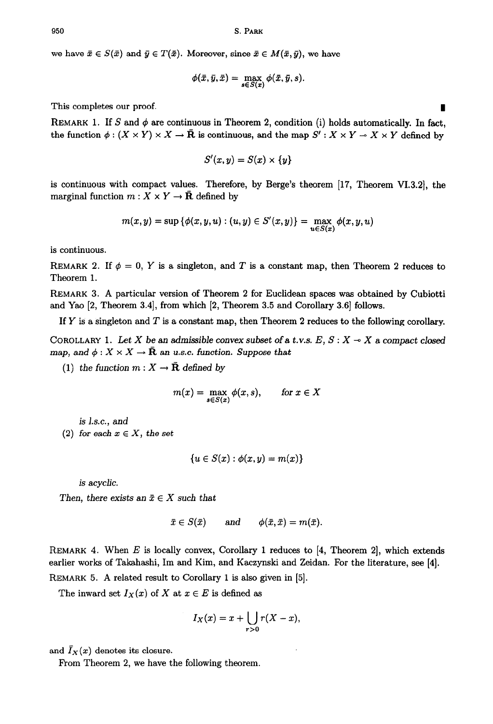we have  $\bar{x} \in S(\bar{x})$  and  $\bar{y} \in T(\bar{x})$ . Moreover, since  $\bar{x} \in M(\bar{x}, \bar{y})$ , we have

$$
\phi(\bar{x}, \bar{y}, \bar{x}) = \max_{s \in S(\bar{x})} \phi(\bar{x}, \bar{y}, s).
$$

This completes our proof.

REMARK 1. If S and  $\phi$  are continuous in Theorem 2, condition (i) holds automatically. In fact, the function  $\phi : (X \times Y) \times X \to \bar{R}$  is continuous, and the map  $S' : X \times Y \to X \times Y$  defined by

$$
S'(x,y)=S(x)\times\{y\}
$$

is continuous with compact values. Therefore, by Berge's theorem [17, Theorem VI.3.21, the marginal function  $m: X \times Y \to \bar{R}$  defined by

$$
m(x, y) = \sup \{ \phi(x, y, u) : (u, y) \in S'(x, y) \} = \max_{u \in S(x)} \phi(x, y, u)
$$

is continuous.

REMARK 2. If  $\phi = 0$ , Y is a singleton, and T is a constant map, then Theorem 2 reduces to Theorem 1.

REMARK 3. A particular version of Theorem 2 for Euclidean spaces was obtained by Cubiotti and Yao  $[2,$  Theorem 3.4, from which  $[2,$  Theorem 3.5 and Corollary 3.6 $]$  follows.

If Y is a singleton and *T* is a constant map, then Theorem 2 reduces to the following corollary,

COROLLARY 1. Let X be an admissible convex subset of a t.v.s. E,  $S: X \rightarrow X$  a compact closed map, and  $\phi: X \times X \to \overline{\mathbf{R}}$  an u.s.c. function. Suppose that

(1) the function  $m: X \to \bar{R}$  defined by

$$
m(x) = \max_{s \in S(x)} \phi(x, s), \quad \text{for } x \in X
$$

is J.s.c., and

(2) for each  $x \in X$ , the set

$$
\{u\in S(x): \phi(x,y)=m(x)\}
$$

**is** *acyclic.* 

Then, there exists an  $\bar{x} \in X$  such that

$$
\bar x\in S(\bar x)\qquad\text{and}\qquad \phi(\bar x,\bar x)=m(\bar x).
$$

REMARK 4. When *E* is locally convex, Corollary 1 reduces to [4, Theorem 2], which extends earlier works of Takahashi, Im and Kim, and Kaczynski and Zeidan. For the literature, see [4]. REMARK 5. A related result to Corollary 1 is also given in [5].

The inward set  $I_X(x)$  of X at  $x \in E$  is defined as

$$
I_X(x) = x + \bigcup_{r>0} r(X-x),
$$

and  $I_X(x)$  denotes its closure.

From Theorem 2, we have the following theorem.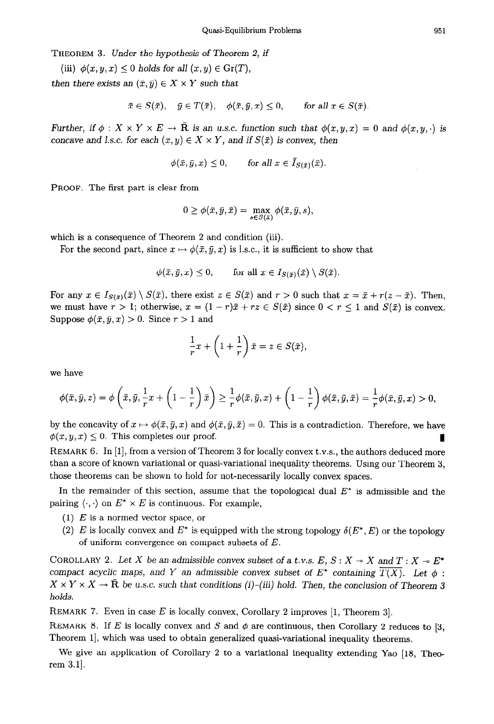THEOREM 3. Under *the* hypothesis of Theorem 2, *if* 

(iii) 
$$
\phi(x, y, x) \leq 0
$$
 holds for all  $(x, y) \in \text{Gr}(T)$ ,

then there exists an  $(\bar{x}, \bar{y}) \in X \times Y$  such that

$$
\bar{x} \in S(\bar{x}), \quad \bar{y} \in T(\bar{x}), \quad \phi(\bar{x}, \bar{y}, x) \le 0, \quad \text{for all } x \in S(\bar{x}).
$$

Further, if  $\phi: X \times Y \times E \to \overline{\mathbf{R}}$  is an u.s.c. function such that  $\phi(x, y, x) = 0$  and  $\phi(x, y, \cdot)$  is concave and I.s.c. for each  $(x, y) \in X \times Y$ , and if  $S(\bar{x})$  is convex, then

$$
\phi(\bar{x}, \bar{y}, x) \le 0, \quad \text{for all } x \in I_{S(\bar{x})}(\bar{x}).
$$

PROOF. The first part is clear from

$$
0 \geq \phi(\bar{x}, \bar{y}, \bar{x}) = \max_{s \in S(\bar{x})} \phi(\bar{x}, \bar{y}, s),
$$

which is a consequence of Theorem 2 and condition (iii).

For the second part, since  $x \mapsto \phi(\bar{x}, \bar{y}, x)$  is l.s.c., it is sufficient to show that

 $\phi(\bar{x}, \bar{y}, x) \leq 0$ , for all  $x \in I_{S(\bar{x})}(\bar{x}) \setminus S(\bar{x})$ .

For any  $x \in I_{S(\bar{x})}(\bar{x}) \setminus S(\bar{x})$ , there exist  $z \in S(\bar{x})$  and  $r > 0$  such that  $x = \bar{x} + r(z - \bar{x})$ . Then, we must have  $r > 1$ ; otherwise,  $x = (1 - r)\bar{x} + rz \in S(\bar{x})$  since  $0 < r \le 1$  and  $S(\bar{x})$  is convex. Suppose  $\phi(\bar{x}, \bar{y}, x) > 0$ . Since  $r > 1$  and

$$
\frac{1}{r}x + \left(1 + \frac{1}{r}\right)\bar{x} = z \in S(\bar{x}),
$$

**we** have

$$
\phi(\bar{x},\bar{y},z)=\phi\left(\bar{x},\bar{y},\frac{1}{r}x+\left(1-\frac{1}{r}\right)\bar{x}\right)\geq\frac{1}{r}\phi(\bar{x},\bar{y},x)+\left(1-\frac{1}{r}\right)\phi(\bar{x},\bar{y},\bar{x})=\frac{1}{r}\phi(\bar{x},\bar{y},x)>0,
$$

by the concavity of  $x \mapsto \phi(\bar{x}, \bar{y}, x)$  and  $\phi(\bar{x}, \bar{y}, \bar{x}) = 0$ . This is a contradiction. Therefore, we have  $\phi(\bar{x}, \bar{y}, x) \leq 0$ . This completes our proof.

REMARK 6. In [l], from a version of Theorem 3 for locally convex t.v.s., the authors deduced more than a score of known variational or quasi-variational inequality theorems. Using our Theorem 3, those theorems can be shown to hold for not-necessarily locally convex spaces.

In the remainder of this section, assume that the topological dual *E\** is admissible and the pairing  $\langle \cdot, \cdot \rangle$  on  $E^* \times E$  is continuous. For example,

- (1) *E* is a normed vector space, or
- (2) *E* is locally convex and  $E^*$  is equipped with the strong topology  $\delta(E^*, E)$  or the topology of uniform convergence on compact subsets of *E.*

COROLLARY 2. Let X be an admissible convex subset of a t.v.s.  $E, S: X \rightarrow X$  and  $T: X \rightarrow E^*$ compact acyclic maps, and *Y* an admissible convex subset of  $E^*$  containing  $\overline{T(X)}$ . Let  $\phi$ :  $X \times Y \times X \to \overline{\mathbf{R}}$  be u.s.c. such that conditions (i)-(iii) hold. Then, the conclusion of Theorem 3 holds.

REMARK 7. Even in case *E* is locally convex, Corollary 2 improves [l, Theorem 31.

REMARK 8. If *E* is locally convex and *S* and  $\phi$  are continuous, then Corollary 2 reduces to [3, Theorem 11, which was used to obtain generalized quasi-variational inequality theorems.

We give an application of Corollary 2 to a variational inequality extending Yao [18, Theorem 3.1.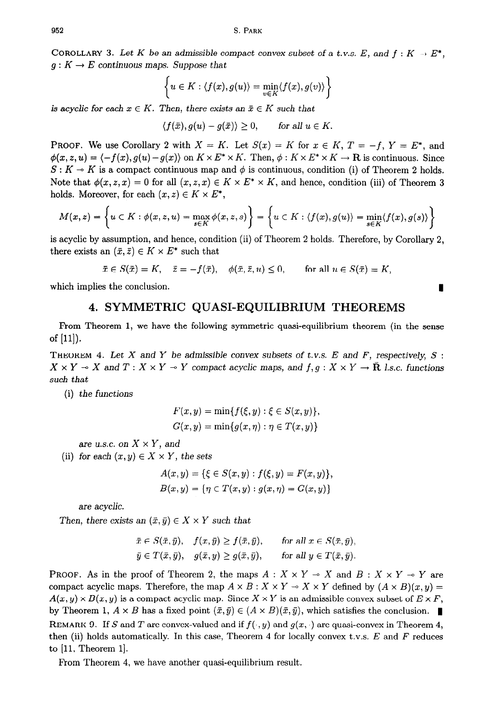COROLLARY 3. Let K be an admissible compact convex subset of a t.v.s. E, and  $f: K \to E^*$ ,  $g: K \to E$  continuous maps. Suppose that

$$
\left\{u \in K : \langle f(x), g(u) \rangle = \min_{v \in K} \langle f(x), g(v) \rangle \right\}
$$

is acyclic for each  $x \in K$ . Then, there exists an  $\bar{x} \in K$  such that

$$
\langle f(\bar{x}), g(u) - g(\bar{x}) \rangle \ge 0, \quad \text{for all } u \in K.
$$

**PROOF.** We use Corollary 2 with  $X = K$ . Let  $S(x) = K$  for  $x \in K$ ,  $T = -f$ ,  $Y = E^*$ , and  $\phi(x, z, u) = \langle -f(x), g(u) - g(x) \rangle$  on  $K \times E^* \times K$ . Then,  $\phi: K \times E^* \times K \to \mathbf{R}$  is continuous. Since  $S: K \to K$  is a compact continuous map and  $\phi$  is continuous, condition (i) of Theorem 2 holds. Note that  $\phi(x, z, x) = 0$  for all  $(x, z, x) \in K \times E^* \times K$ , and hence, condition (iii) of Theorem 3 holds. Moreover, for each  $(x, z) \in K \times E^*$ ,

$$
M(x,z) = \left\{ u \in K : \phi(x,z,u) = \max_{s \in K} \phi(x,z,s) \right\} = \left\{ u \in K : \langle f(x), g(u) \rangle = \min_{s \in K} \langle f(x), g(s) \rangle \right\}
$$

is acyclic by assumption, and hence, condition (ii) of Theorem 2 holds. Therefore, by Corollary 2, there exists an  $(\bar{x}, \bar{z}) \in K \times E^*$  such that

$$
\bar{x} \in S(\bar{x}) = K, \quad \bar{z} = -f(\bar{x}), \quad \phi(\bar{x}, \bar{z}, u) \le 0, \quad \text{for all } u \in S(\bar{x}) = K,
$$

which implies the conclusion.

### **4. SYMMETRIC QUASI-EQUILIBRIUM THEOREMS**

Prom Theorem 1, we have the following symmetric quasi-equilibrium theorem (in the sense of  $[11]$ ).

THEOREM 4. Let X and Y be admissible convex subsets of t.v.s.  $E$  and  $F$ , respectively,  $S$ :  $X \times Y \to X$  and  $T: X \times Y \to Y$  compact acyclic maps, and  $f, g: X \times Y \to \bar{\mathbf{R}}$  *l.s.c. functions* such that

(i) *the* functions

$$
F(x,y) = \min\{f(\xi,y) : \xi \in S(x,y)\},
$$
  

$$
G(x,y) = \min\{g(x,\eta) : \eta \in T(x,y)\}
$$

are u.s.c. on  $X \times Y$ , and

(ii) for each  $(x, y) \in X \times Y$ , the sets

$$
A(x, y) = \{\xi \in S(x, y) : f(\xi, y) = F(x, y)\},\
$$
  

$$
B(x, y) = \{\eta \in T(x, y) : g(x, \eta) = G(x, y)\}\
$$

are acyclic.

Then, there exists an  $(\bar{x}, \bar{y}) \in X \times Y$  such that

$$
\begin{aligned}\n\bar{x} &\in S(\bar{x}, \bar{y}), \quad f(x, \bar{y}) \ge f(\bar{x}, \bar{y}), \qquad \text{for all } x \in S(\bar{x}, \bar{y}), \\
\bar{y} &\in T(\bar{x}, \bar{y}), \quad g(\bar{x}, y) \ge g(\bar{x}, \bar{y}), \qquad \text{for all } y \in T(\bar{x}, \bar{y}).\n\end{aligned}
$$

**PROOF.** As in the proof of Theorem 2, the maps  $A: X \times Y \rightarrow X$  and  $B: X \times Y \rightarrow Y$  are compact acyclic maps. Therefore, the map  $A \times B : X \times Y \to X \times Y$  defined by  $(A \times B)(x, y) =$  $A(x, y) \times B(x, y)$  is a compact acyclic map. Since  $X \times Y$  is an admissible convex subset of  $E \times F$ , by Theorem 1,  $A \times B$  has a fixed point  $(\bar{x}, \bar{y}) \in (A \times B)(\bar{x}, \bar{y})$ , which satisfies the conclusion. REMARK 9. If S and T are convex-valued and if  $f(\cdot, y)$  and  $g(x, \cdot)$  are quasi-convex in Theorem 4, then (ii) holds automatically. In this case, Theorem 4 for locally convex t.v.s. *E* and *F* reduces to [ll, Theorem l].

From Theorem 4, we have another quasi-equilibrium result.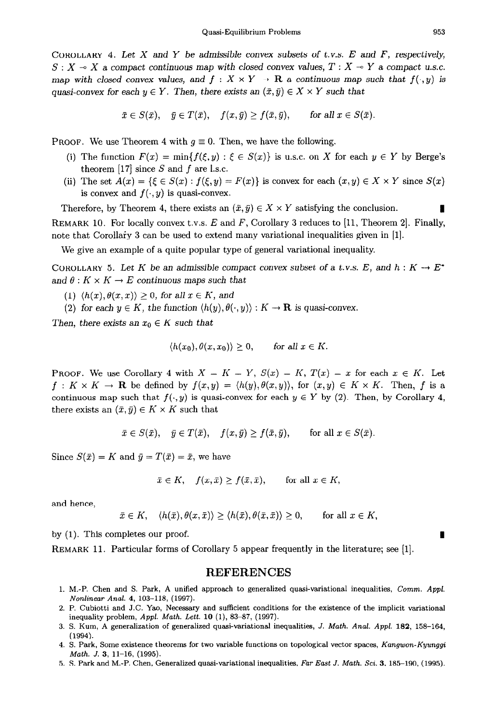COROLLARY 4. Let X and Y be admissible convex subsets of t.v.s.  $E$  and  $F$ , respectively,  $S: X \to X$  a compact continuous map with closed convex values,  $T: X \to Y$  a compact u.s.c. map with closed convex values, and  $f : X \times Y \rightarrow \mathbb{R}$  a continuous map such that  $f(\cdot, y)$  is quasi-convex for each  $y \in Y$ . Then, there exists an  $(\bar{x}, \bar{y}) \in X \times Y$  such that

$$
\bar{x} \in S(\bar{x}), \quad \bar{y} \in T(\bar{x}), \quad f(x,\bar{y}) \ge f(\bar{x},\bar{y}), \quad \text{for all } x \in S(\bar{x}).
$$

**PROOF.** We use Theorem 4 with  $g \equiv 0$ . Then, we have the following.

- (i) The function  $F(x) = \min\{f(\xi, y) : \xi \in S(x)\}\$ is u.s.c. on X for each  $y \in Y$  by Berge's theorem  $[17]$  since S and f are l.s.c.
- (ii) The set  $A(x) = \{\xi \in S(x) : f(\xi, y) = F(x)\}\$ is convex for each  $(x, y) \in X \times Y$  since  $S(x)$ is convex and  $f(\cdot, y)$  is quasi-convex.

Therefore, by Theorem 4, there exists an  $(\bar{x}, \bar{y}) \in X \times Y$  satisfying the conclusion. REMARK 10. For locally convex t.v.s. *E* and *F,* Corollary 3 reduces to **[ll,** Theorem 21. Finally, note that Corollafy 3 can be used to extend many variational inequalities given in [l].

We give an example of a quite popular type of general variational inequality.

COROLLARY 5. Let K be an admissible compact convex subset of a t.v.s. E, and  $h : K \to E^*$ and  $\theta: K \times K \to E$  continuous maps such that

- (1)  $\langle h(x), \theta(x,x) \rangle \geq 0$ , for all  $x \in K$ , and
- (2) for each  $y \in K$ , the function  $\langle h(y), \theta(\cdot, y) \rangle : K \to \mathbf{R}$  is quasi-convex.

Then, there exists an  $x_0 \in K$  such that

$$
\langle h(x_0), \theta(x, x_0) \rangle \ge 0, \quad \text{for all } x \in K.
$$

**PROOF.** We use Corollary 4 with  $X = K = Y$ ,  $S(x) = K$ ,  $T(x) = x$  for each  $x \in K$ . Let  $f: K \times K \to \mathbf{R}$  be defined by  $f(x, y) = \langle h(y), \theta(x, y) \rangle$ , for  $(x, y) \in K \times K$ . Then, *f* is a continuous map such that  $f(\cdot, y)$  is quasi-convex for each  $y \in Y$  by (2). Then, by Corollary 4, there exists an  $(\bar{x}, \bar{y}) \in K \times K$  such that

$$
\bar{x} \in S(\bar{x}), \quad \bar{y} \in T(\bar{x}), \quad f(x, \bar{y}) \ge f(\bar{x}, \bar{y}), \quad \text{for all } x \in S(\bar{x}).
$$

Since  $S(\bar{x}) = K$  and  $\bar{y} = T(\bar{x}) = \bar{x}$ , we have

$$
\bar{x} \in K, \quad f(x,\bar{x}) \ge f(\bar{x},\bar{x}), \quad \text{for all } x \in K,
$$

and hence,

$$
\bar{x} \in K, \quad \langle h(\bar{x}), \theta(x, \bar{x}) \rangle \ge \langle h(\bar{x}), \theta(\bar{x}, \bar{x}) \rangle \ge 0, \quad \text{for all } x \in K,
$$

by (1). This completes our proof.

**REMARK** 11. Particular forms of Corollary 5 appear frequently in the literature; see [l].

### **REFERENCES**

- **1.** M.-P. **Chen and S. Park, A unified approach to generalized quasi-variational inequalities, Comm.** *Appl.*  **Nonlinear** *Anal.* **4, 103-118, (1997).**
- **2. P. Cubiotti and J.C. Yao, Necessary and sufficient conditions for the existence of the implicit variational inequality problem,** *Appl. Math. Lett.* **10 (l),** 83-87, (1997).
- 3. S. **Kum, A generalization of generalized quasi-variational inequalities, J. Math. Anal. Appl. 182, 158-164, (1994).**
- **4. S. Park, Some existence theorems for two variable functions on topological vector spaces, Kangwon-Kyunggi Math. J. 3, 11-16, (1995).**
- 5. S. Park and M.-P. Chen, Generalized quasi-variational inequalities, Far East J. Math. Sci. 3, 185-190, (1995).